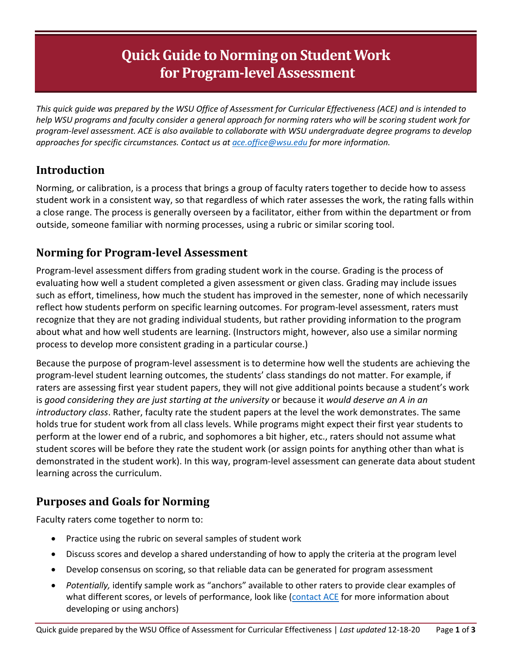# **Quick Guide to Norming on Student Work for Program-level Assessment**

*This quick guide was prepared by the WSU Office of Assessment for Curricular Effectiveness (ACE) and is intended to help WSU programs and faculty consider a general approach for norming raters who will be scoring student work for program-level assessment. ACE is also available to collaborate with WSU undergraduate degree programs to develop approaches for specific circumstances. Contact us at [ace.office@wsu.edu](mailto:ace.office@wsu.edu) for more information.* 

# **Introduction**

Norming, or calibration, is a process that brings a group of faculty raters together to decide how to assess student work in a consistent way, so that regardless of which rater assesses the work, the rating falls within a close range. The process is generally overseen by a facilitator, either from within the department or from outside, someone familiar with norming processes, using a rubric or similar scoring tool.

# **Norming for Program-level Assessment**

Program-level assessment differs from grading student work in the course. Grading is the process of evaluating how well a student completed a given assessment or given class. Grading may include issues such as effort, timeliness, how much the student has improved in the semester, none of which necessarily reflect how students perform on specific learning outcomes. For program-level assessment, raters must recognize that they are not grading individual students, but rather providing information to the program about what and how well students are learning. (Instructors might, however, also use a similar norming process to develop more consistent grading in a particular course.)

Because the purpose of program-level assessment is to determine how well the students are achieving the program-level student learning outcomes, the students' class standings do not matter. For example, if raters are assessing first year student papers, they will not give additional points because a student's work is *good considering they are just starting at the university* or because it *would deserve an A in an introductory class*. Rather, faculty rate the student papers at the level the work demonstrates. The same holds true for student work from all class levels. While programs might expect their first year students to perform at the lower end of a rubric, and sophomores a bit higher, etc., raters should not assume what student scores will be before they rate the student work (or assign points for anything other than what is demonstrated in the student work). In this way, program-level assessment can generate data about student learning across the curriculum.

# **Purposes and Goals for Norming**

Faculty raters come together to norm to:

- Practice using the rubric on several samples of student work
- Discuss scores and develop a shared understanding of how to apply the criteria at the program level
- Develop consensus on scoring, so that reliable data can be generated for program assessment
- *Potentially,* identify sample work as "anchors" available to other raters to provide clear examples of what different scores, or levels of performance, look like [\(contact ACE](mailto:ace.office@wsu.edu) for more information about developing or using anchors)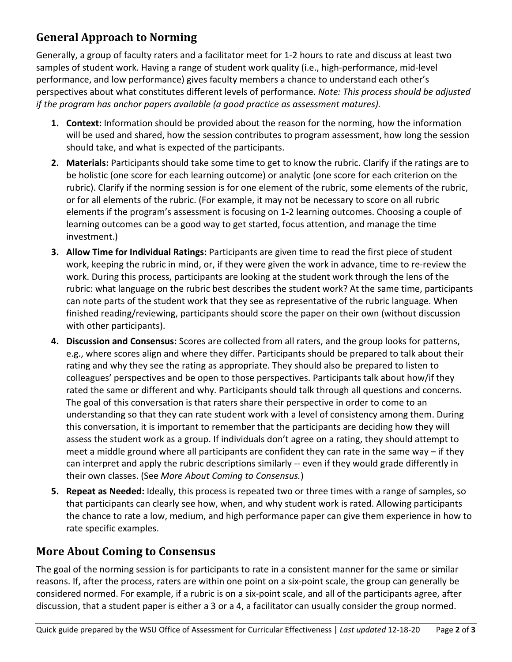# **General Approach to Norming**

Generally, a group of faculty raters and a facilitator meet for 1-2 hours to rate and discuss at least two samples of student work. Having a range of student work quality (i.e., high-performance, mid-level performance, and low performance) gives faculty members a chance to understand each other's perspectives about what constitutes different levels of performance. *Note: This process should be adjusted if the program has anchor papers available (a good practice as assessment matures).*

- **1. Context:** Information should be provided about the reason for the norming, how the information will be used and shared, how the session contributes to program assessment, how long the session should take, and what is expected of the participants.
- **2. Materials:** Participants should take some time to get to know the rubric. Clarify if the ratings are to be holistic (one score for each learning outcome) or analytic (one score for each criterion on the rubric). Clarify if the norming session is for one element of the rubric, some elements of the rubric, or for all elements of the rubric. (For example, it may not be necessary to score on all rubric elements if the program's assessment is focusing on 1-2 learning outcomes. Choosing a couple of learning outcomes can be a good way to get started, focus attention, and manage the time investment.)
- **3. Allow Time for Individual Ratings:** Participants are given time to read the first piece of student work, keeping the rubric in mind, or, if they were given the work in advance, time to re-review the work. During this process, participants are looking at the student work through the lens of the rubric: what language on the rubric best describes the student work? At the same time, participants can note parts of the student work that they see as representative of the rubric language. When finished reading/reviewing, participants should score the paper on their own (without discussion with other participants).
- **4. Discussion and Consensus:** Scores are collected from all raters, and the group looks for patterns, e.g., where scores align and where they differ. Participants should be prepared to talk about their rating and why they see the rating as appropriate. They should also be prepared to listen to colleagues' perspectives and be open to those perspectives. Participants talk about how/if they rated the same or different and why. Participants should talk through all questions and concerns. The goal of this conversation is that raters share their perspective in order to come to an understanding so that they can rate student work with a level of consistency among them. During this conversation, it is important to remember that the participants are deciding how they will assess the student work as a group. If individuals don't agree on a rating, they should attempt to meet a middle ground where all participants are confident they can rate in the same way – if they can interpret and apply the rubric descriptions similarly -- even if they would grade differently in their own classes. (See *More About Coming to Consensus.*)
- **5. Repeat as Needed:** Ideally, this process is repeated two or three times with a range of samples, so that participants can clearly see how, when, and why student work is rated. Allowing participants the chance to rate a low, medium, and high performance paper can give them experience in how to rate specific examples.

# **More About Coming to Consensus**

The goal of the norming session is for participants to rate in a consistent manner for the same or similar reasons. If, after the process, raters are within one point on a six-point scale, the group can generally be considered normed. For example, if a rubric is on a six-point scale, and all of the participants agree, after discussion, that a student paper is either a 3 or a 4, a facilitator can usually consider the group normed.